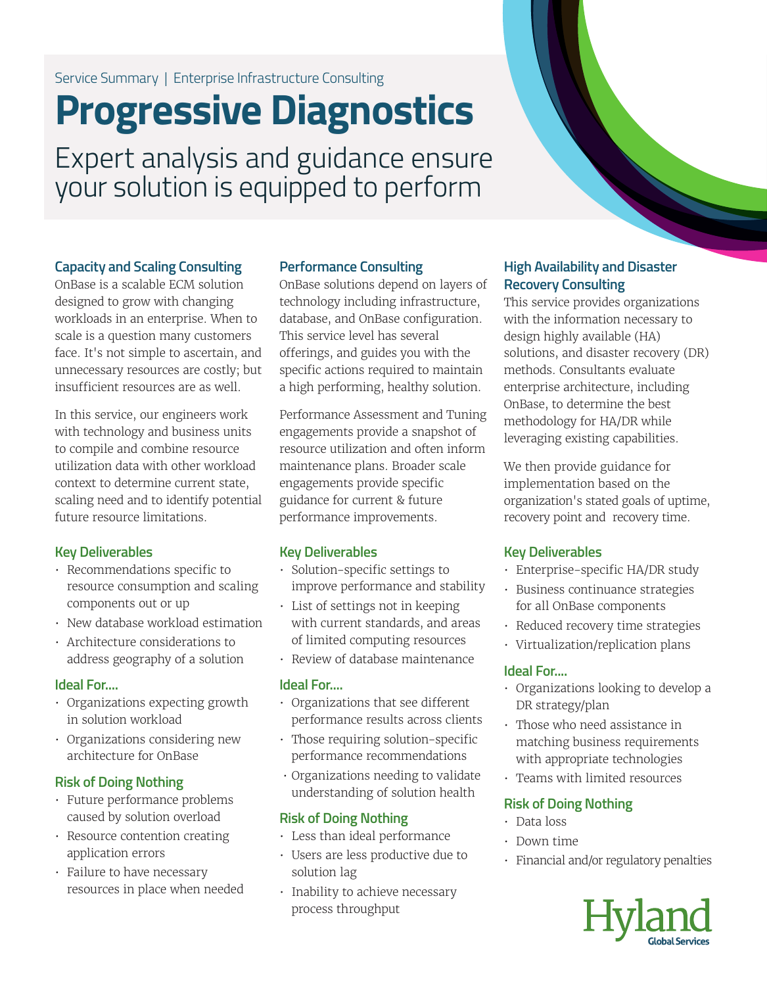# Service Summary | Enterprise Infrastructure Consulting

# **Progressive Diagnostics**

Expert analysis and guidance ensure your solution is equipped to perform

### **Capacity and Scaling Consulting**

OnBase is a scalable ECM solution designed to grow with changing workloads in an enterprise. When to scale is a question many customers face. It's not simple to ascertain, and unnecessary resources are costly; but insufficient resources are as well.

In this service, our engineers work with technology and business units to compile and combine resource utilization data with other workload context to determine current state, scaling need and to identify potential future resource limitations.

### **Key Deliverables**

- Recommendations specific to resource consumption and scaling components out or up
- New database workload estimation
- Architecture considerations to address geography of a solution

### **Ideal For....**

- Organizations expecting growth in solution workload
- Organizations considering new architecture for OnBase

# **Risk of Doing Nothing**

- Future performance problems caused by solution overload
- Resource contention creating application errors
- Failure to have necessary resources in place when needed

## **Performance Consulting**

OnBase solutions depend on layers of technology including infrastructure, database, and OnBase configuration. This service level has several offerings, and guides you with the specific actions required to maintain a high performing, healthy solution.

Performance Assessment and Tuning engagements provide a snapshot of resource utilization and often inform maintenance plans. Broader scale engagements provide specific guidance for current & future performance improvements.

# **Key Deliverables**

- Solution-specific settings to improve performance and stability
- List of settings not in keeping with current standards, and areas of limited computing resources
- Review of database maintenance

### **Ideal For....**

- Organizations that see different performance results across clients
- Those requiring solution-specific performance recommendations
- Organizations needing to validate understanding of solution health

# **Risk of Doing Nothing**

- Less than ideal performance
- Users are less productive due to solution lag
- Inability to achieve necessary process throughput

# **High Availability and Disaster Recovery Consulting**

This service provides organizations with the information necessary to design highly available (HA) solutions, and disaster recovery (DR) methods. Consultants evaluate enterprise architecture, including OnBase, to determine the best methodology for HA/DR while leveraging existing capabilities.

We then provide guidance for implementation based on the organization's stated goals of uptime, recovery point and recovery time.

# **Key Deliverables**

- Enterprise-specific HA/DR study
- Business continuance strategies for all OnBase components
- Reduced recovery time strategies
- Virtualization/replication plans

### **Ideal For....**

- Organizations looking to develop a DR strategy/plan
- Those who need assistance in matching business requirements with appropriate technologies
- Teams with limited resources

### **Risk of Doing Nothing**

- Data loss
- Down time
- Financial and/or regulatory penalties